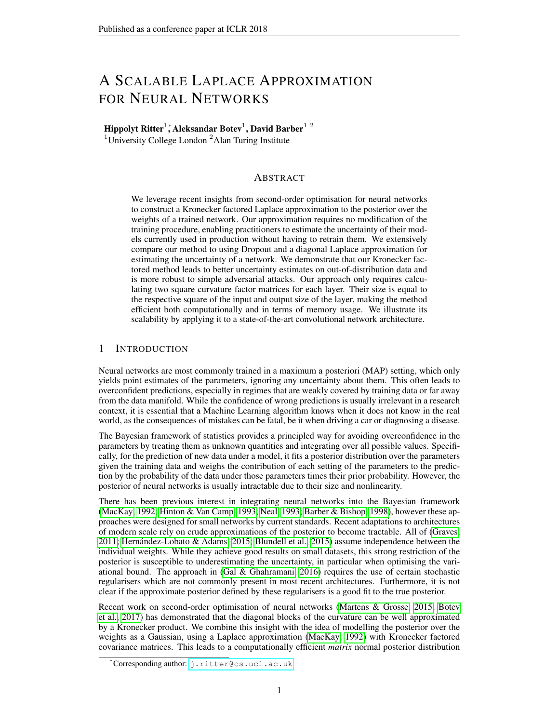## A SCALABLE LAPLACE APPROXIMATION FOR NEURAL NETWORKS

## Hippolyt Ritter $^1^\ast$ Aleksandar Botev $^1,$  David Barber $^{1\,\,2}$

<sup>1</sup>University College London<sup>2</sup> Alan Turing Institute

#### ABSTRACT

We leverage recent insights from second-order optimisation for neural networks to construct a Kronecker factored Laplace approximation to the posterior over the weights of a trained network. Our approximation requires no modification of the training procedure, enabling practitioners to estimate the uncertainty of their models currently used in production without having to retrain them. We extensively compare our method to using Dropout and a diagonal Laplace approximation for estimating the uncertainty of a network. We demonstrate that our Kronecker factored method leads to better uncertainty estimates on out-of-distribution data and is more robust to simple adversarial attacks. Our approach only requires calculating two square curvature factor matrices for each layer. Their size is equal to the respective square of the input and output size of the layer, making the method efficient both computationally and in terms of memory usage. We illustrate its scalability by applying it to a state-of-the-art convolutional network architecture.

### 1 INTRODUCTION

Neural networks are most commonly trained in a maximum a posteriori (MAP) setting, which only yields point estimates of the parameters, ignoring any uncertainty about them. This often leads to overconfident predictions, especially in regimes that are weakly covered by training data or far away from the data manifold. While the confidence of wrong predictions is usually irrelevant in a research context, it is essential that a Machine Learning algorithm knows when it does not know in the real world, as the consequences of mistakes can be fatal, be it when driving a car or diagnosing a disease.

The Bayesian framework of statistics provides a principled way for avoiding overconfidence in the parameters by treating them as unknown quantities and integrating over all possible values. Specifically, for the prediction of new data under a model, it fits a posterior distribution over the parameters given the training data and weighs the contribution of each setting of the parameters to the prediction by the probability of the data under those parameters times their prior probability. However, the posterior of neural networks is usually intractable due to their size and nonlinearity.

There has been previous interest in integrating neural networks into the Bayesian framework [\(MacKay, 1992;](#page-9-0) [Hinton & Van Camp, 1993;](#page-9-1) [Neal, 1993;](#page-9-2) [Barber & Bishop, 1998\)](#page-8-0), however these approaches were designed for small networks by current standards. Recent adaptations to architectures of modern scale rely on crude approximations of the posterior to become tractable. All of [\(Graves,](#page-8-1) [2011;](#page-8-1) Hernández-Lobato & Adams, 2015; [Blundell et al., 2015\)](#page-8-2) assume independence between the individual weights. While they achieve good results on small datasets, this strong restriction of the posterior is susceptible to underestimating the uncertainty, in particular when optimising the variational bound. The approach in [\(Gal & Ghahramani, 2016\)](#page-8-3) requires the use of certain stochastic regularisers which are not commonly present in most recent architectures. Furthermore, it is not clear if the approximate posterior defined by these regularisers is a good fit to the true posterior.

Recent work on second-order optimisation of neural networks [\(Martens & Grosse, 2015;](#page-9-4) [Botev](#page-8-4) [et al., 2017\)](#page-8-4) has demonstrated that the diagonal blocks of the curvature can be well approximated by a Kronecker product. We combine this insight with the idea of modelling the posterior over the weights as a Gaussian, using a Laplace approximation [\(MacKay, 1992\)](#page-9-0) with Kronecker factored covariance matrices. This leads to a computationally efficient *matrix* normal posterior distribution

<sup>∗</sup> Corresponding author: [j.ritter@cs.ucl.ac.uk](mailto:j.ritter@cs.ucl.ac.uk)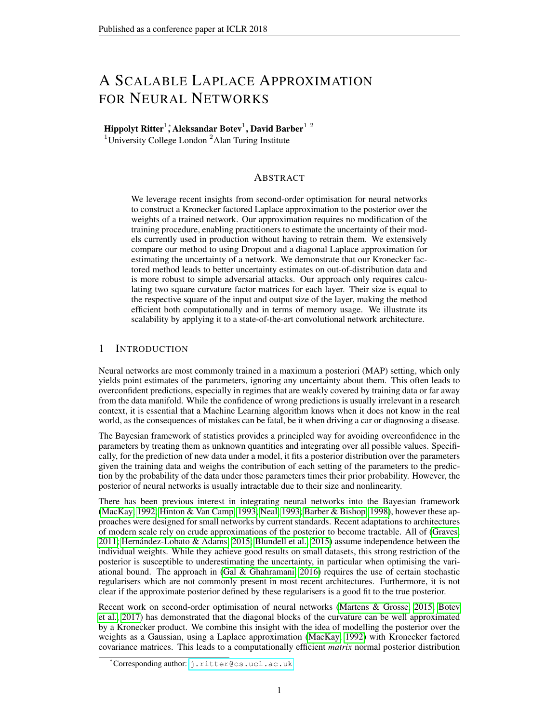[\(Gupta & Nagar, 1999\)](#page-8-5) over the weights of every layer. Since the Laplace approximation is applied after training, our approach can be used to obtain uncertainty estimates from existing networks.

## 2 THE CURVATURE OF NEURAL NETWORKS

Our method is inspired by recent Kronecker factored approximations of the curvature of a neural network [\(Martens & Grosse, 2015;](#page-9-4) [Botev et al., 2017\)](#page-8-4) for optimisation and we give a high-level review of these in the following. While the two methods approximate the Gauss-Newton and Fisher matrix respectively, as they are guaranteed to be positive semi-definite (p.s.d.), we base all of our discussion on the Hessian in order to be as general as possible.

#### 2.1 NEURAL NETWORK NOTATION

We denote a feedforward network as taking an input  $a_0 = x$  and producing an output  $h_L$ . The intermediate representations for layers  $\lambda = 1, ..., L$  are denoted as  $h = W a_{-1}$  and  $a = f(h)$ . We refer to  $a$  as the activations, and  $h$  as the (linear) pre-activations. The bias terms are absorbed into the  $W$  by appending a 1 to each  $a$ . The network parameters are optimised w.r.t. an error function  $E(y, h<sub>L</sub>)$  for targets y. Most commonly used error functions, such as squared error and categorical cross-entropy, can be interpreted as exponential family negative log likelihoods  $log p(y/h_L)$ .

#### <span id="page-1-1"></span>2.2 KRONECKER FACTORED SECOND-ORDER OPTIMISATION

Traditional second-order methods use either the Hessian matrix or a positive semi-definite approximation thereof to generate parameter updates of the form  $C^{-1}g$ , where C is the chosen curvature matrix and  $g$  the gradient of the error function parameterised by the network. However, this curvature matrix is infeasbile to compute for modern neural networks as their number of parameters is often in the millions, rendering the size of  $C$  of the order of several terabytes.

Recent work [\(Martens & Grosse, 2015;](#page-9-4) [Botev et al., 2017\)](#page-8-4) exploits that, for *a single data point*, the diagonal blocks of these curvature matrices are Kronecker factored:

<span id="page-1-0"></span>
$$
H = \frac{\partial^2 E}{\partial \text{vec}(W) \partial \text{vec}(W)} = Q \qquad H \tag{1}
$$

where H is the Hessian w.r.t. the weights in layer  $\lambda$ .  $Q = a_{-1} a_{-1} a_{-1}$  denotes the covariance of the incoming activations  $a_{-1}$  and  $H = \frac{e^2 E}{e \hbar \Phi h}$  the pre-activation Hessian, i.e. the Hessian of the error w.r.t. the linear pre-activations  $h$  in a layer. We provide the derivation for this result as well as the recursion for calculating  $H$  in Appendix [A.](#page-10-0)

The Kronecker factorisation holds two key advantages: the matrices that need be computed and stored are much smaller — if we assume all layers to be of dimensionality  $D$ , the two factors are each of size  $D^2$ , whereas the full Hessian for the weights of only one layer would have  $D^4$  elements. Furthermore, the inverse of a Kronecker product is equal to the Kronecker product of the inverses, so it is only necessary to invert those two moderately sized matrices.

In order to maintain this structure over a minibatch of data, all Kronecker factored second-order methods make two core approximations: First, they only model the diagonal blocks corresponding to the weights of a layer, such that the curvature decomposes into  $L$  independent matrices. Second, they assume  $\mathcal Q$  and  $\mathcal H$  to be independent. This is in order to maintain the Kronecker factorisation in expectation, i.e.  $E[Q \ H] \in [Q] \ E[H]$ , since the expectation of a Kronecker product is not guaranteed to be Kronecker factored itself.

The main difference between the Kronecker factored second-order optimisers lies in how they efficiently approximate  $E[H]$ . For exact calculation, it would be necessary to pass back an entire matrix per data point in a minibatch, which imposes infeasible memory and computational requirements. KFRA [\(Botev et al., 2017\)](#page-8-4) simply passes back the expectation at every layer, while KFAC [\(Martens & Grosse, 2015\)](#page-9-4) utilises the Fisher identity to only propagate a vector rather than a matrix, approximating the Kronecker factors with a stochastic rank-one matrix for each data point.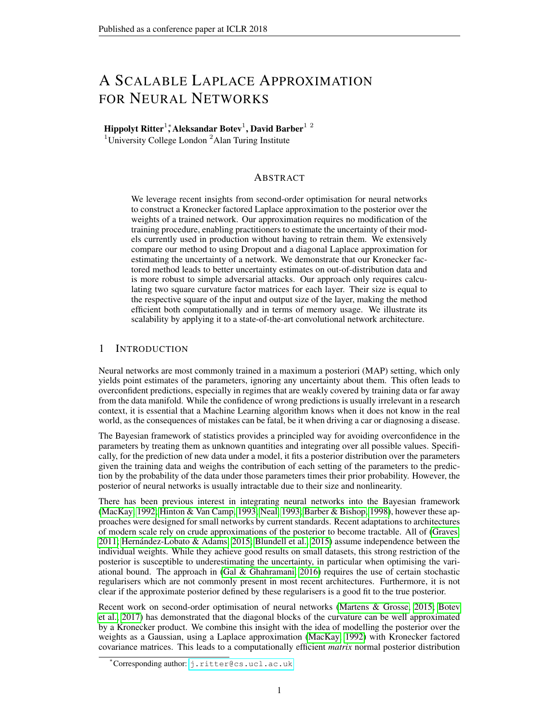The diagonal blocks of the Hessian and Gauss-Newton matrix are equal for neural networks with piecewise linear activation functions [\(Botev et al., 2017\)](#page-8-4), thus both methods can be used to directly approximate the diagonal blocks of the Hessian of such networks, as the Gauss-Newton and Fisher are equivalent for networks that parameterise an exponential family log likelihood.

## 3 A SCALABLE LAPLACE APPROXIMATION FOR NEURAL NETWORKS

#### 3.1 THE LAPLACE APPROXIMATION

The standard Laplace approximation is obtained by taking the second-order Taylor expansion around a mode of a distribution. For a neural network, such a mode can be found using standard gradientbased methods. Specifically, if we approximate the log posterior over the weights of a network given some data D around a MAP estimate  $\theta^*$ , we obtain:

$$
\log p(\theta/D) \quad \log p(\theta^* / D) \quad \frac{1}{2} (\theta \quad \theta^*)^{\mathsf{T}} H (\theta \quad \theta^*) \tag{2}
$$

where  $\theta = [\text{vec}(W_1), ..., \text{vec}(W_L)]$  is the stacked vector of weights and  $H = \mathbb{E}[H]$  the average Hessian of the negative log posterior<sup>[1](#page-2-0)</sup>. The first order term is missing because we expand the function around a maximum  $\ddot{\theta}^*$ , where the gradient is zero. If we exponentiate this equation, it is easy to notice that the right-hand side is of Gaussian functional form for  $\theta$ , thus we obtain a normal distribution by integrating over it. The posterior over the weights is then approximated as Gaussian:

$$
\theta \qquad \mathcal{N}(\theta^*, H^{-1}) \tag{3}
$$

assuming  $H$  is p.s.d. We can then approximate the posterior mean when predicting on unseen data  $D^*$  by averaging the predictions of T Monte Carlo samples  $\theta^{(t)}$  from the approximate posterior:

$$
p(D^*jD) = \int p(D^*)\theta)p(\theta jD)d\theta \qquad \frac{1}{T} \sum_{t=1}^T p(D^*)\theta^{(t)} \tag{4}
$$

#### 3.2 DIAGONAL LAPLACE APPROXIMATION

Unfortunately, it is not feasible to compute or invert the Hessian matrix w.r.t. all of the weights jointly. An approximation that is easy to compute in modern automatic differentiation frameworks is the diagonal of the Fisher matrix  $F$ , which is simply the expectation of the squared gradients:

$$
H \quad \text{diag}(F) = \text{diag}(\mathbb{E}\left[r \quad \log p(y/x)r \quad \log p(y/x)^{\mathsf{T}}\right]) = \text{diag}(\mathbb{E}\left[\left(r \quad \log p(y/x)\right)^2\right]) \tag{5}
$$

where diag extracts the diagonal of a matrix or turns a vector into a diagonal matrix. Such diagonal approximations to the curvature of a neural network have been used successfully for pruning the weights [\(LeCun et al., 1990\)](#page-9-5) and, more recently, for transfer learning [\(Kirkpatrick et al., 2017\)](#page-9-6).

This corresponds to modelling the weights with a Normal distribution with diagonal covariance:

$$
\text{vec}(W) \qquad \mathcal{N}(\text{vec}(W^*), \text{diag}(F))^{-1}) \quad \text{for } \lambda = 1, \dots, L \tag{6}
$$

Unfortunately, even if the Taylor approximation is accurate, this will place significant probability mass in low probability areas of the true posterior if some weights exhibit high covariance.

<span id="page-2-0"></span><sup>&</sup>lt;sup>1</sup>The average Hessian is typically scaled by the number of data points  $N$ . In order to keep the notation uncluttered, we develop our basic methods in terms of the average Hessian and discuss the scaling separately.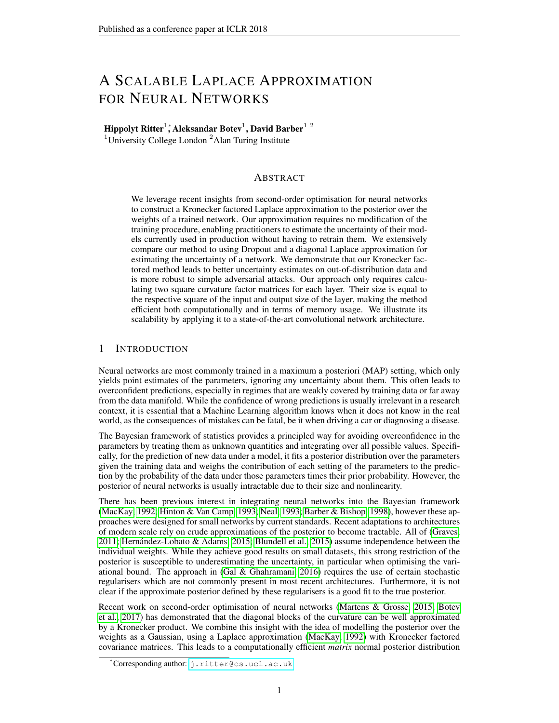#### 3.3 KRONECKER FACTORED LAPLACE APPROXIMATION

So while it is desirable to model the covariance between the weights, some approximations are needed in order to remain computationally efficient. First, we assume the weights of the different layers to be independent. This corresponds to the block-diagonal approximation in KFAC and KFRA, which empirically preserves sufficient information about the curvature to obtain competitive optimisation performance. For our purposes this means that our posterior factorises over the layers.

As discussed above, the Hessian of the log-likelihood for a single datapoint is Kronecker factored, and we denote the two factor matrices as  $H = Q$  $H$ .<sup>[2](#page-3-0)</sup> By further assuming independence between  $Q$  and  $H$  in all layers, we can approximate the expected Hessian of each layer as:

$$
E[H] = E[Q \quad H] \quad E[Q] \quad E[H] \tag{7}
$$

Hence, the Hessian of every layer is Kronecker factored over an *entire dataset* and the Laplace approximation can be approximated by a product of Gaussians. Each Gaussian has a Kronecker factored covariance, corresponding to a *matrix* normal distribution [\(Gupta & Nagar, 1999\)](#page-8-5), which considers the two Kronecker factors of the covariance to be the covariances of the rows and columns of a matrix. The two factors are much smaller than the full covariance and allow for significantly more efficient inversion and sampling (we review the matrix normal distribution in Appendix [B\)](#page-11-0).

Our resulting posterior for the weights in layer  $\lambda$  is then:

$$
W \qquad \text{MN}(W^*, \, \mathcal{Q}^{-1}, \, \text{H}^{-1}) \tag{8}
$$

In contrast to optimisation methods, we do not need to approximate  $E[H]$  as it is only calculated once. However, when it is possible to augment the data (e.g. randomised cropping of images), it may be advantageous. We provide a more detailed discussion of this in Appendix [C.](#page-11-1)

#### <span id="page-3-1"></span>3.4 INCORPORATING THE PRIOR AND REGULARISING THE CURVATURE FACTORS

Just as the log posterior, the Hessian decomposes into a term depending on the data log likelihood and one on the prior. For the commonly used  $L_2$ -regularisation, corresponding to a Gaussian prior, the Hessian is equal to the precision of the prior times the identity matrix. We approximate this by adding a multiple of the identity to each of the Kronecker factors from the log likelihood:

$$
H = N \mathbb{E} \left[ \frac{\partial^2 \log p(D|\theta)}{\partial \theta^2} \right] + \tau I \left( \frac{\rho}{N} \mathbb{E} \left[ Q \right] + \frac{\rho}{\tau} I \right) \left( \frac{\rho}{N} \mathbb{E} \left[ H \right] + \frac{\rho}{\tau} I \right) \tag{9}
$$

where  $\tau$  is the precision of the Gaussian prior on the weights and N the size of the dataset. However, we can also treat them as hyperparameters and optimise them w.r.t. the predictive performance on a validation set. We emphasise that this can be done without retraining the network, so it does not impose a large computational overhead and is trivial to parallelise.

Setting  $N$  to a larger value than the size of the dataset can be interpreted as including duplicates of the data points as pseudo-observations. Adding a multiple of the uncertainty to the precision matrix decreases the uncertainty about each parameter. This has a regularising effect both on our approximation to the true Laplace, which may be overestimating the variance in certain directions due to ignoring the covariances between the layers, as well as the Laplace approximation itself, which may be placing probability mass in low probability areas of the true posterior.

## 4 RELATED WORK

Most recent attempts to approximating the posterior of a neural network are based on formulating an approximate distribution to the posterior and optimising the variational lower bound w.r.t. its

<span id="page-3-0"></span><sup>&</sup>lt;sup>2</sup>We assume a uniform prior for now, such that the Hessians of the posterior and the log likelihood are equal. We discuss how we incorporate a non-zero Hessian of a prior into the Kronecker factors in the next section.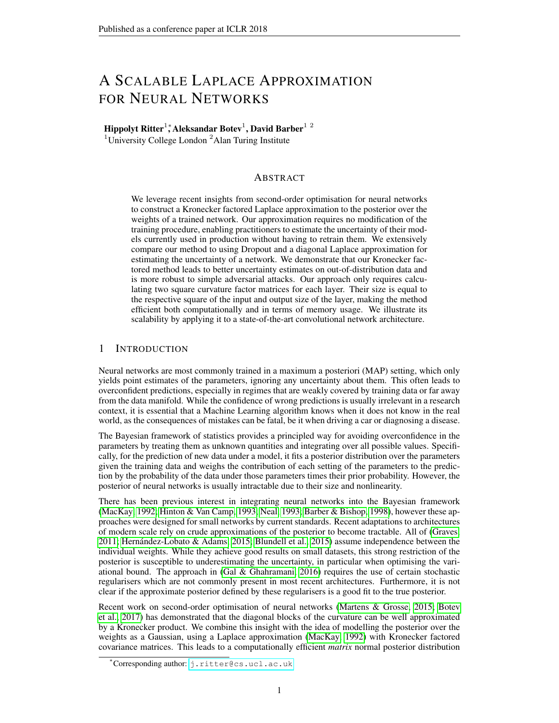parameters. [\(Graves, 2011;](#page-8-1) [Blundell et al., 2015;](#page-8-2) [Kingma et al., 2015\)](#page-9-7) as well as the expectation propagation based approaches of (Hernández-Lobato & Adams, 2015) and [\(Ghosh et al., 2016\)](#page-8-6) assume independence between the individual weights which, particularly when optimising the KL divergence, often lets the model underestimate the uncertainty about the weights. [Gal & Ghahramani](#page-8-3) [\(2016\)](#page-8-3) interpret Dropout to approximate the posterior with a mixture of delta functions, assuming independence between the columns. [\(Lakshminarayanan et al., 2016\)](#page-9-8) suggest using an ensemble of networks for estimating the uncertainty.

Our work is a scalable approximation of [\(MacKay, 1992\)](#page-9-0). Since the per-layer Hessian of a neural network is infeasible to compute, we suggest a factorisation of the covariance into a Kronecker product, leading to a more efficient *matrix* normal distribution. The posterior that we obtain is reminiscent of [\(Louizos & Welling, 2016\)](#page-9-9) and [\(Sun et al., 2017\)](#page-9-10), who optimise the parameters of a matrix normal distribution as their weights, which requires a modification of the training procedure.

## 5 EXPERIMENTS

Since the Laplace approximation is a method for *predicting* in a Bayesian manner and not for training, we focus on comparing to uncertainty estimates obtained from Dropout [\(Gal & Ghahramani,](#page-8-3) [2016\)](#page-8-3). The trained networks will be identical, but the prediction methods will differ. We also compare to a diagonal Laplace approximation to highlight the benefit from modelling the covariances between the weights. All experiments are implemented using Theano [\(Theano Development Team,](#page-9-11) [2016\)](#page-9-11) and Lasagne (Dieleman et al.,  $2015$ ).<sup>[3](#page-4-0)</sup>

#### 5.1 TOY REGRESSION DATASET

As a first experiment, we visualise the uncertainty obtained from the Laplace approximations on a toy regression dataset, similar to (Hernández-Lobato  $\&$  Adams, 2015). We create a dataset of 20 uniformly distributed points  $x \in U(-4, 4)$  and sample y  $3^3$ ,  $3^2$ ). In contrast to (Hernández-Lobato & Adams,  $2015$ ), we use a two-layer network with seven units per layer rather than one layer with 100 units. This is because both the input and output are one-dimensional, hence the weight matrices are vectors and the matrix normal distribution reduces to a multivariate normal distribution. Furthermore, the Laplace approximation is sensitive to the ratio of the number of data points to parameters, and we want to visualise it both with and without hyperparameter tuning.

<span id="page-4-1"></span>

Figure 1: Toy regression uncertainty. Black dots are data points, the black line shows the noiseless function. The red line shows the deterministic prediction of the network, the blue line the mean output. Each shade of blue visualises one additional standard deviation. Best viewed on screen.

Fig. [1](#page-4-1) shows the uncertainty obtained from the Kronecker factored and diagonal Laplace approximation applied to the same network, as well as from a full Laplace approximation and 50, 000 HMC [\(Neal, 1993\)](#page-9-2) samples. The latter two methods are feasible only for such a small model and dataset. For the diagonal and full Laplace approximation we use the Fisher identity and draw one sample per data point. We set the hyperparameters of the Laplace approximations (see Section [3.4\)](#page-3-1) using a grid search over the likelihood of 20 validation points that are sampled the same way as the training set.

<span id="page-4-0"></span> $3$ We make our fork available at: <https://github.com/BB-UCL/Lasagne>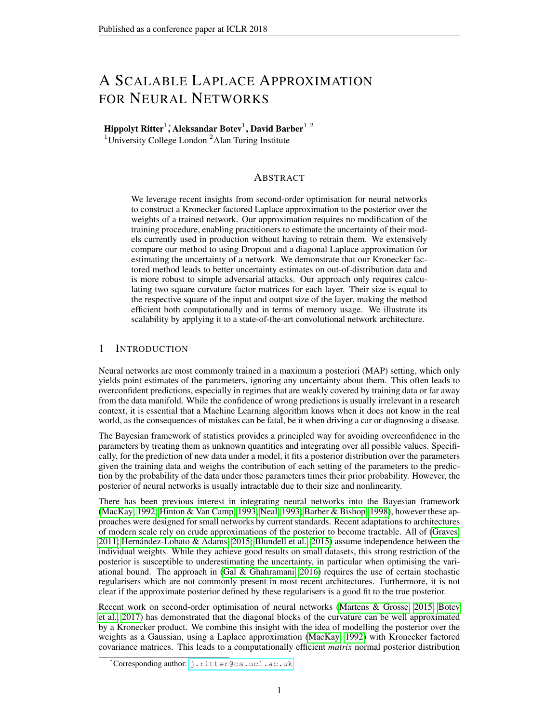The regularised Laplace approximations all give an overall good fit to the HMC predictive posterior. Their uncertainty is slightly higher close to the training data and increases more slowly away from the data than that of the HMC posterior. The diagonal and full Laplace approximation require stronger regularisation than our Kronecker factored one, as they have higher uncertainty when not regularised. In particular the full Laplace approximation vastly overestimates the uncertainty without additional regularisation, leading to a bad predictive mean (see Appendix [E](#page-12-0) for the corresponding figures), as the Hessian of the log likelihood is underdetermined. This is commonly the case in deep learning, as the number of parameters is typically much larger than the number of data points. Hence restricting the structure of the covariance is not only a computational necessity for most architectures, but also allows for more precise estimation of the approximate covariance.

#### 5.2 OUT-OF-DISTRIBUTION UNCERTAINTY

For a more realistic test, similar to [\(Louizos & Welling, 2017\)](#page-9-12), we assess the uncertainty of the predictions when classifying data from a different distribution than the training data. For this we train a network with two layers of 1024 hidden units and ReLU transfer functions to classify MNIST digits. We use a learning rate of 10<sup>-2</sup> and momentum of 0.9 for 250 epochs. We apply Dropout with  $p=0.5$  after each inner layer, as our chief interest is to compare against its uncertainty estimates. We further use  $L_2$ -regularisation with a factor of 10<sup>-2</sup> and randomly binarise the images during training according to their pixel intensities and draw 1, 000 such samples per datapoint for estimating the curvature factors. We use this network to classify the images in the notMNIST dataset<sup>[4](#page-5-0)</sup>, which contains 28 28 grey-scale images of the letters 'A' to 'J' from various computer fonts, i.e. not digits. An ideal classifier would make uniform predictions over its classes.

We compare the uncertainty obtained by predicting the digit class of the notMNIST images using 1. a deterministic forward pass through the Dropout trained network, 2. by sampling different Dropout masks and averaging the predictions, and by sampling different weight matrices from 3. the matrix normal distribution obtained from our Kronecker factored Laplace approximation as well as 4. the diagonal one. As an additional baseline similar to [\(Blundell](#page-8-2) [et al., 2015;](#page-8-2) [Graves, 2011\)](#page-8-1), we compare to a network with identical architecture with a fully factorised Gaussian (FFG) approximate posterior on the weights and a standard normal prior. We train the model on the variational lower bound using the reparametrisation trick [\(Kingma & Welling, 2013\)](#page-9-13). We use 100 samples for the stochastic forward passes and optimise the hyperparameters of the Laplace ap-

<span id="page-5-1"></span>

Figure 2: Predictive entropy on notMNIST obtained from different methods for the forward pass on a network trained on MNIST.

proximations w.r.t. the cross-entropy on the validation set of MNIST.

We measure the uncertainty of the different methods as the entropy of the predictive distribution, which has a minimal value of 0 when a single class is predicted with certainty and a maximum of about 2.3 for uniform predictions. Fig. [2](#page-5-1) shows the inverse empirical cumulative distribution of the entropy values obtained from the four methods. Consistent with the results in [\(Gal & Ghahramani,](#page-8-3) [2016\)](#page-8-3), averaging the probabilities of multiple passes through the network yields predictions with higher uncertainty than a deterministic pass that approximates the geometric average [\(Srivastava](#page-9-14) [et al., 2014\)](#page-9-14). However, there still are some images that are predicted to be a digit with certainty. Our Kronecker factored Laplace approximation makes hardly any predictions with absolute certainty and assigns high uncertainty to most of the letters as desired. The diagonal Laplace approximation required stronger regularisation towards predicting deterministically, yet it performs similarly to Dropout. As shown in Table [1,](#page-14-0) however, the network makes predictions on the test set of MNIST

<span id="page-5-0"></span><sup>4</sup> From: <http://yaroslavvb.blogspot.nl/2011/09/notmnist-dataset.html>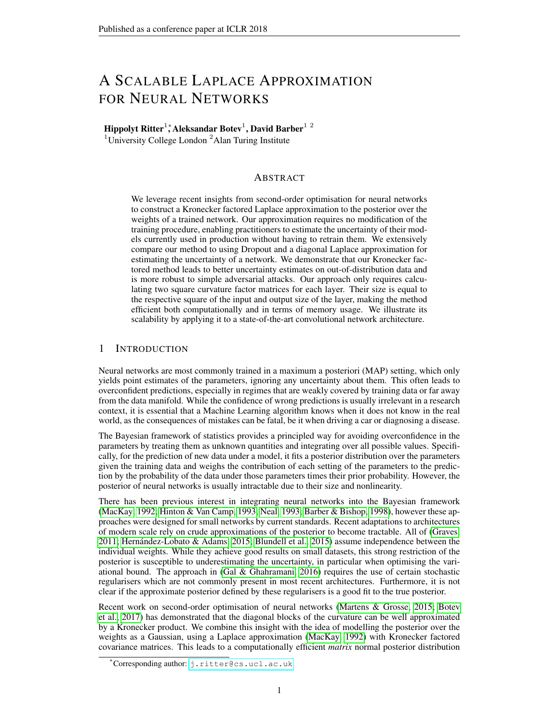with similar accuracy to the deterministic forward pass and MC Dropout when using our approximation. The variational factorised Gaussian posterior has low uncertainty as expected.

<span id="page-6-0"></span>

#### 5.3 ADVERSARIAL EXAMPLES

Figure 3: Untargeted adversarial attack. Figure 4: Targeted adversarial attack.

source

 $100$ 

To further test the robustness of our prediction method close to the data distribution, we perform an adversarial attack on a neural network. As first demonstrated in [\(Szegedy et al., 2013\)](#page-9-15), neural networks are prone to being fooled by gradient-based changes to their inputs. [Li & Gal](#page-9-16) [\(2017\)](#page-9-16) suggest, and provide empirical support, that Bayesian models may be more robust to such attacks, since they implicitly form an infinitely large ensemble by integrating over the model parameters. For our experiments, we use the fully connected net trained on MNIST from the previous section and compare the sensitivity of the different prediction methods for two kinds of adversarial attacks.

First, we use the untargeted Fast Gradient Sign method  $x_{adv} = x - \eta \text{sgn}(r_x \text{max}_y \log p^{(M)}(y/x))$ suggested in [\(Goodfellow et al., 2014\)](#page-8-8), which takes the gradient of the class predicted with maximal probability by method M w.r.t. the input x and reduces this probability with varying step size  $\eta$ . This step size is rescaled by the difference between the maximal and minimal value per dimension in the dataset. It is to be expected that this method generates examples away from the data manifold, as there is no clear subset of the data that corresponds to e.g. "not ones".

Fig. [3](#page-6-0) shows the average predictive uncertainty and the accuracy on the original class on the MNIST test set as the step size  $\eta$  increases. The Kronecker factored Laplace approximation achieves significantly higher uncertainty than any other prediction method as the images move away from the data. Both the diagonal and the Kronecker factored Laplace maintain higher accuracy than MC Dropout on their original predictions. Interestingly, the deterministic forward pass appears to be most robust in terms of accuracy, however it has much smaller uncertainty on the predictions it makes and will confidently predict a false class for most images, whereas the other methods are more uncertain.

Furthermore, we perform a targeted attack that attempts to force the network to predict a specific class, in our case '0' following [\(Li & Gal, 2017\)](#page-9-16). Hence, for each method, we exclude all data points in the test set that are already predicted as '0'. The updates are of similar form to the untargeted attack, however they increase the probability of the pre-specified class  $y$  rather than decreasing the current maximum as  $x_y^{(t+1)} = x_y^{(t)} + \eta \text{sgn}(\Upsilon_X \log p^{(M)}(y/x_y^{(t)}))$ , where  $x_y^{(0)} = x$ .

We use a step size of  $\eta$ =10<sup>-2</sup> for the targeted attack. The uncertainty and accuracy on the original and target class are shown in Fig. [4.](#page-6-0) Here, the Kronecker factored Laplace approximation has slightly smaller uncertainty at its peak in comparison to the other methods, however it appears to be much more robust. It only misclassifies over 50% of the images after about 20 steps, whereas for the other methods this is the case after roughly 10 steps and reaches 100% accuracy on the target class after almost 50 updates, whereas the other methods are fooled on all images after about 25 steps.

In conjunction with the experiment on notMNIST, it appears that the Laplace approximation achieves higher uncertainty than Dropout away from the data, as in the untargeted attack. In the targeted attack it exhibits smaller uncertainty than Dropout, yet it is more robust to having its prediction changed. The diagonal Laplace approximation again performs similarly to Dropout.

#### 5.4 UNCERTAINTY ON MISCLASSIFICATIONS

To highlight the scalability of our method, we apply it to a state-of-the-art convolutional network architecture. Recently, deep residual networks [\(He et al., 2016a](#page-8-9)[;b\)](#page-9-17) have been the most successful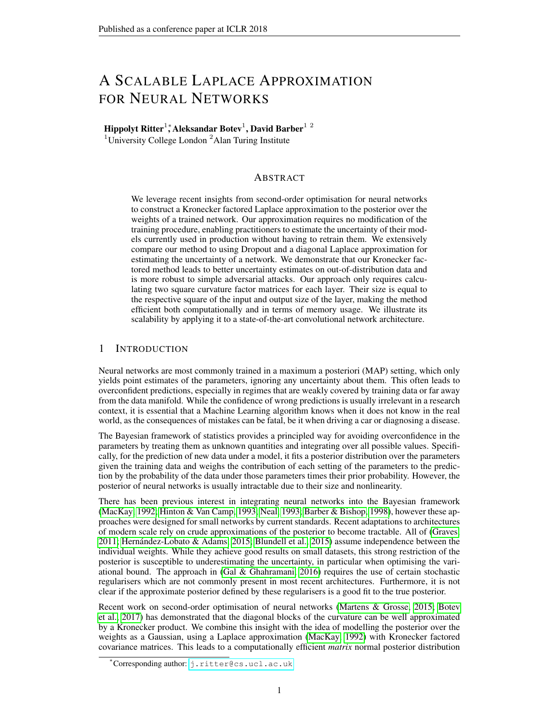<span id="page-7-0"></span>

Figure 5: Inverse ecdf of the predictive entropy from Wide Residual Networks trained with and without Dropout on CIFAR100. For misclassifications, curves on top corresponding to higher uncertainty are desirable, and curves on the bottom for correct classifications.

ones among those. As demonstrated in [\(Grosse & Martens, 2016\)](#page-8-10), Kronecker factored curvature methods are applicable to convolutional layers by interpreting them as matrix-matrix multiplications.

We compare our uncertainty estimates on wide residual networks [\(Zagoruyko & Komodakis, 2016\)](#page-9-18), a recent variation that achieved competitive performance on CIFAR100 [\(Krizhevsky & Hinton,](#page-9-19) [2009\)](#page-9-19) while, in contrast to most other residual architectures, including Dropout at specific points. While this does not correspond to using Dropout in the Bayesian sense [\(Gal & Ghahramani, 2015\)](#page-8-11), it allows us to at least compare our method to the uncertainty estimates obtained from Dropout.

We note that it is straightforward to incorporate batch normalisation [\(Ioffe & Szegedy, 2015\)](#page-9-20) into the curvature backpropagation algorithms, so we apply a standard Laplace approximation to its parameters as well. We are not aware of any interpretation of Dropout as performing Bayesian inference on the parameters of batch normalisation. Further implementation details are in Appendix [G.](#page-14-1)

Again, the accuracy of the prediction methods is comparable (see Table [2](#page-14-2) in Appendix [F\)](#page-13-0). For calculating the curvature factors, we draw 5, 000 samples per image using the same data augmentation as during training, effectively increasing the dataset size to 2.5  $10^8$ . The diagonal approximation had to be regularised to the extent of becoming deterministic, so we omit it from the results.

In Fig. [5](#page-7-0) we compare the distribution of the predictive uncertainty on the test set.<sup>[5](#page-7-1)</sup> We distinguish between the uncertainty on correct and incorrect classifications, as the mistakes of a system used in practice may be less severe if the network can at least indicate that it is uncertain. Thus, high uncertainty on misclassifications and low uncertainty on correct ones would be desirable, such that a system could return control to a human expert when it can not make a confident decision. In general, the network tends to be more uncertain on its misclassifcations than its correct ones regardless of whether it was trained with or without Dropout and of the method used for prediction. Both Dropout and the Laplace approximation similarly increase the uncertainty in the predictions, however this is irrespective of the correctness of the classification. Yet, our experiments show that the Kronecker factored Laplace approximation can be scaled to modern convolutional networks and maintain good classification accuracy while having similar uncertainty about the predictions as Dropout.

We had to use much stronger regularisation for the Laplace approximation on the wide residual network, possibly because the block-diagonal approximation becomes more inaccurate on deep networks, possibly because the number of parameters is much higher relative to the number of data. It would be interesting to see how the Laplace approximations behaves on a much larger dataset like ImageNet for similarly sized networks, where we have a better ratio of data to parameters and curvature directions. However, even on a relatively small dataset like CIFAR we did not have to regularise the Laplace approximation to the degree of the posterior becoming deterministic.

<span id="page-7-1"></span><sup>&</sup>lt;sup>5</sup>We use the first  $5/000$  images as a validation set to tune the hyperparameters of our Laplace approximation and the final 5; 000 ones for evaluating the predictive uncertainty on all methods.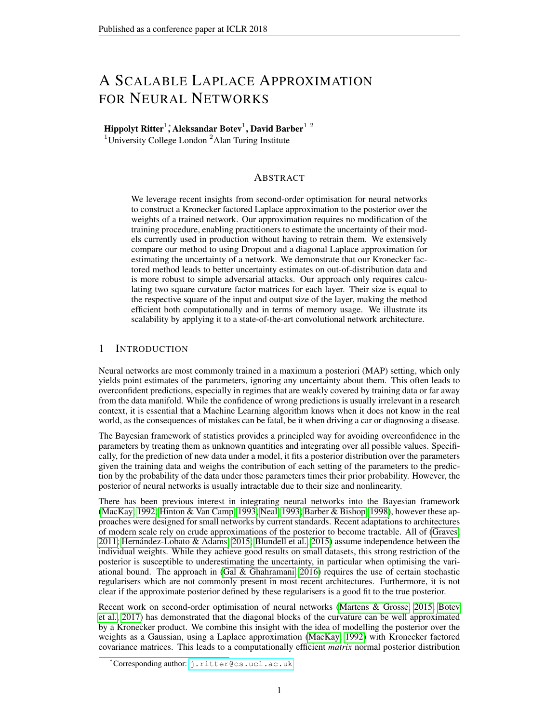## 6 CONCLUSION

We presented a scalable approximation to the Laplace approximation for the posterior of a neural network and provided experimental results suggesting that the uncertainty estimates are on par with current alternatives like Dropout, if not better. It enables practitioners to obtain principled uncertainty estimates from their models, even if they were trained in a maximum likelihood/MAP setting.

There are many possible extensions to this work. One would be to automatically determine the scale and regularisation hyperparameters of the Kronecker factored Laplace approximation using the model evidence similar to how [\(MacKay, 1992\)](#page-9-0) interpolates between the data log likelihood and the width of the prior. The model evidence could further be used to perform Bayesian model averaging on ensembles of neural networks, potentially improving their generalisation ability and uncertainty estimates. A challenging application would be active learning, where only little data is available relative to the number of curvature directions that need to be estimated.

#### ACKNOWLEDGEMENTS

This work was supported by the Alan Turing Institute under the EPSRC grant EP/N510129/1. We thank the anonymous reviewers for their feedback and Harshil Shah for his comments on an earlier draft of this paper.

#### **REFERENCES**

- <span id="page-8-12"></span>Anoop Korattikara Balan, Vivek Rathod, Kevin P Murphy, and Max Welling. Bayesian Dark Knowledge. In *Advances in Neural Information Processing Systems*, pp. 3438–3446, 2015.
- <span id="page-8-0"></span>David Barber and Christopher M Bishop. Ensemble Learning for Multi-layer Networks. In *Advances in Neural Information Processing Systems*, pp. 395–401, 1998.
- <span id="page-8-2"></span>Charles Blundell, Julien Cornebise, Koray Kavukcuoglu, and Daan Wierstra. Weight Uncertainty in Neural Networks. In *ICML*, pp. 1613–1622, 2015.
- <span id="page-8-4"></span>Aleksandar Botev, Hippolyt Ritter, and David Barber. Practical Gauss-Newton Optimisation for Deep Learning. In *ICML*, pp. 557 – 565, 2017.
- <span id="page-8-7"></span>Sander Dieleman, Jan Schluter, Colin Raffel, Eben Olson, Søren Kaae Sønderby, Daniel Nouri, et al. ¨ Lasagne: First release., August 2015.
- <span id="page-8-11"></span>Yarin Gal and Zoubin Ghahramani. Bayesian Convolutional Neural Networks with BernoulliAapproximate Variational Inference. *arXiv preprint arXiv:1506.02158*, 2015.
- <span id="page-8-3"></span>Yarin Gal and Zoubin Ghahramani. Dropout as a Bayesian Approximation: Representing Model Uncertainty in Deep Learning. In *ICML*, pp. 1050–1059, 2016.
- <span id="page-8-6"></span>Soumya Ghosh, Francesco Maria Delle Fave, and Jonathan S Yedidia. Assumed Density Filtering Methods for Learning Bayesian Neural Networks. In *AAAI*, pp. 1589–1595, 2016.
- <span id="page-8-8"></span>Ian J Goodfellow, Jonathon Shlens, and Christian Szegedy. Explaining and Harnessing Adversarial Examples. *arXiv preprint arXiv:1412.6572*, 2014.
- <span id="page-8-1"></span>Alex Graves. Practical Variational Inference for Neural Networks. In *Advances in Neural Information Processing Systems*, pp. 2348–2356, 2011.
- <span id="page-8-10"></span>Roger Grosse and James Martens. A Kronecker-factored Approximate Fisher Matrix for Convolution Layers. In *ICML*, pp. 573–582, 2016.
- <span id="page-8-5"></span>Arjun K Gupta and Daya K Nagar. *Matrix Variate Distributions*, volume 104. CRC Press, 1999.
- <span id="page-8-9"></span>Kaiming He, Xiangyu Zhang, Shaoqing Ren, and Jian Sun. Deep Residual Learning for Image Recognition. In *Proceedings of the IEEE conference on computer vision and pattern recognition*, pp. 770–778, 2016a.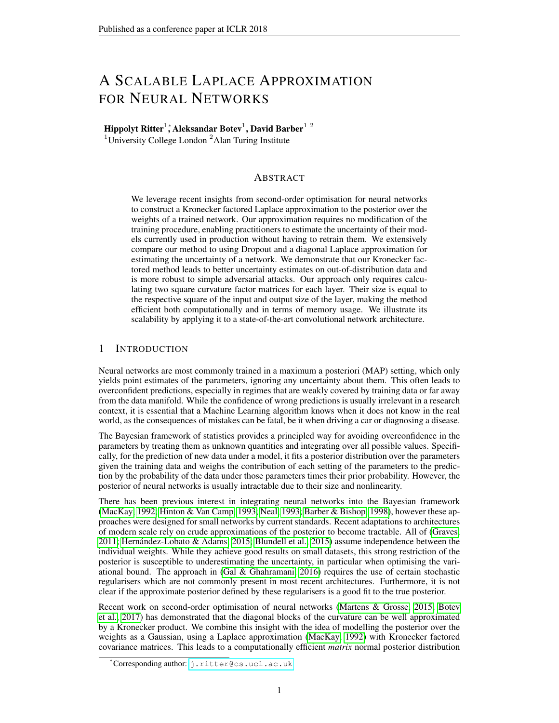- <span id="page-9-17"></span>Kaiming He, Xiangyu Zhang, Shaoqing Ren, and Jian Sun. Identity Mappings in Deep Residual Networks. In *European Conference on Computer Vision*, pp. 630–645. Springer, 2016b.
- <span id="page-9-3"></span>José Miguel Hernández-Lobato and Ryan Adams. Probabilistic Backpropagation for Scalable Learning of Bayesian Neural Networks. In *ICML*, pp. 1861–1869, 2015.
- <span id="page-9-1"></span>Geoffrey E Hinton and Drew Van Camp. Keeping the Neural Networks Simple by Minimizing the Description Length of the Weights. In *COLT*, pp. 5–13, 1993.
- <span id="page-9-20"></span>Sergey Ioffe and Christian Szegedy. Batch Normalization: Accelerating Deep Network Training by Reducing Internal Covariate Shift. In *ICML*, pp. 448–456, 2015.
- <span id="page-9-13"></span>Diederik P Kingma and Max Welling. Auto-encoding Variational Bayes. *arXiv preprint arXiv:1312.6114*, 2013.
- <span id="page-9-7"></span>Diederik P Kingma, Tim Salimans, and Max Welling. Variational Dropout and the Local Reparameterization Trick. In *Advances in Neural Information Processing Systems*, pp. 2575–2583, 2015.
- <span id="page-9-6"></span>James Kirkpatrick, Razvan Pascanu, Neil Rabinowitz, Joel Veness, Guillaume Desjardins, Andrei A Rusu, Kieran Milan, John Quan, Tiago Ramalho, Agnieszka Grabska-Barwinska, et al. Overcoming Catastrophic Forgetting in Neural Networks. *Proceedings of the National Academy of Sciences*, pp. 201611835, 2017.
- <span id="page-9-19"></span>Alex Krizhevsky and Geoffrey Hinton. Learning Multiple Layers of Features from Tiny Images. 2009.
- <span id="page-9-8"></span>Balaji Lakshminarayanan, Alexander Pritzel, and Charles Blundell. Simple and Scalable Predictive Uncertainty Estimation using Deep Ensembles. *arXiv preprint arXiv:1612.01474*, 2016.
- <span id="page-9-5"></span>Yann LeCun, John S. Denker, and Sara A. Solla. Optimal Brain Damage. In *Advances in Neural Information Processing Systems*, pp. 598–605, 1990.
- <span id="page-9-16"></span>Yingzhen Li and Yarin Gal. Dropout Inference in Bayesian Neural Networks with Alphadivergences. *arXiv preprint arXiv:1703.02914*, 2017.
- <span id="page-9-9"></span>Christos Louizos and Max Welling. Structured and Efficient Variational Deep Learning with Matrix Gaussian Posteriors. In *ICML*, pp. 1708–1716, 2016.
- <span id="page-9-12"></span>Christos Louizos and Max Welling. Multiplicative Normalizing Flows for Variational Bayesian Neural Networks. In *ICML*, pp. 2218–2227, 2017.
- <span id="page-9-0"></span>David J. C. MacKay. A Practical Bayesian Framework for Backpropagation Networks. *Neural Computation*, 4(3):448–472, 1992.
- <span id="page-9-4"></span>James Martens and Roger Grosse. Optimizing Neural Networks with Kronecker-factored Approximate Curvature. In *ICML*, pp. 2408–2417, 2015.
- <span id="page-9-2"></span>Radford M Neal. Bayesian Learning via Stochastic Dynamics. In *Advances in Neural Information Processing Systems*, pp. 475–482, 1993.
- <span id="page-9-14"></span>Nitish Srivastava, Geoffrey E Hinton, Alex Krizhevsky, Ilya Sutskever, and Ruslan Salakhutdinov. Dropout: A Simple Way to Prevent Neural Networks from Overfitting. *Journal of Machine Learning Research*, 15(1):1929–1958, 2014.
- <span id="page-9-10"></span>Shengyang Sun, Changyou Chen, and Lawrence Carin. Learning Structured Weight Uncertainty in Bayesian Neural Networks. In *Artificial Intelligence and Statistics*, pp. 1283–1292, 2017.
- <span id="page-9-15"></span>Christian Szegedy, Wojciech Zaremba, Ilya Sutskever, Joan Bruna, Dumitru Erhan, Ian Goodfellow, and Rob Fergus. Intriguing Properties of Neural Networks. *arXiv preprint arXiv:1312.6199*, 2013.
- <span id="page-9-11"></span>Theano Development Team. Theano: A Python Framework for Fast Computation of Mathematical Expressions. *arXiv e-prints*, abs/1605.02688, May 2016.
- <span id="page-9-18"></span>Sergey Zagoruyko and Nikos Komodakis. Wide Residual Networks. *arXiv preprint arXiv:1605.07146*, 2016.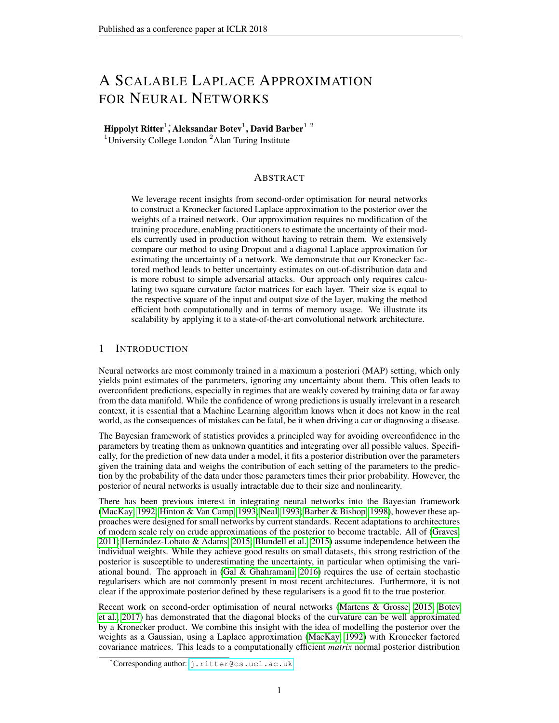# Appendices

## <span id="page-10-0"></span>A DERIVATION OF THE ACTIVATION HESSIAN RECURSION

Here, we provide the basic derivation of the factorisation of the diagonal blocks of the Hessian in Eq. [1](#page-1-0) and the recursive formula for calculating  $H$  as presented in [\(Botev et al., 2017\)](#page-8-4).

The Hessian of a neural network with parameters  $\theta$  as defined in the main text has elements:

$$
[H]_{ij} = \frac{\partial^2}{\partial \theta_i \partial \theta_j} E(\theta)
$$
 (10)

For a given layer  $\lambda$ , the gradient w.r.t. a weight  $W_{a,b}$  is:

$$
\frac{\partial E}{\partial W_{a;b}} = \sum_{i} \frac{\partial h_{i}}{\partial W_{a;b}} \frac{\partial E}{\partial h_{i}} = a_{b}^{-1} \frac{\partial E}{\partial h_{a}}
$$
(11)

Keeping  $\lambda$  fixed and differentiating again, we find that the per-sample Hessian of that layer is:

$$
[H \, ]_{(a;b):(c;d)} \quad \frac{\partial^2 E}{\partial W_{a;b}\partial W_{c;d}} = a_b{}^{-1}a_d{}^{-1}[H \, ]_{a;c} \tag{12}
$$

where

$$
[H]_{a;b} = \frac{\partial^2 E}{\partial h_a \partial h_b} \tag{13}
$$

is the pre-activation Hessian.

We can reexpress this in matrix notation as a Kronecker product as in Eq. [1:](#page-1-0)

$$
H = \frac{\partial^2 E}{\partial \text{vec}(W \text{ )}\partial \text{vec}(W \text{ )}} = \left(a_{-1} a_{-1}^{\mathsf{T}}\right) \quad \text{H}
$$
 (14)

The pre-activation Hessian can be calculated recursively as:

$$
H = B W_{+1}^{\mathsf{T}} H_{+1} W_{+1} B + D \tag{15}
$$

where the diagonal matrices  $B$  and  $D$  are defined as:

$$
B = \text{diag}(\mathbf{f}'(h)) \tag{16}
$$

$$
D = \text{diag}(\mathbf{f}''(h))\frac{\partial E}{\partial a})
$$
\n(17)

 $f'$  and  $f''$  denote the first and second derivative of the transfer function. The recursion is initialised with the Hessian of the error w.r.t. the linear network outputs.

For further details and on how to calculate the diagonal blocks of the Gauss-Newton and Fisher matrix, we refer the reader to [\(Botev et al., 2017\)](#page-8-4) and [\(Martens & Grosse, 2015\)](#page-9-4).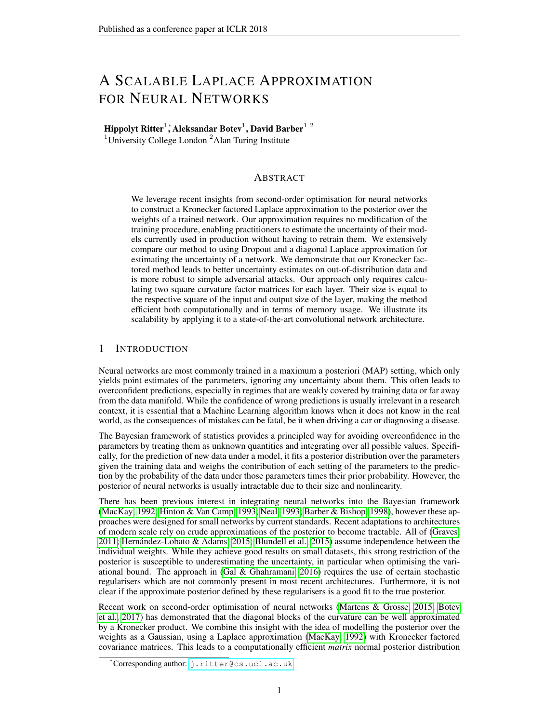## <span id="page-11-0"></span>B MATRIX NORMAL DISTRIBUTION

The matrix normal distribution [\(Gupta & Nagar, 1999\)](#page-8-5) is a multivariate distribution over an entire matrix of shape  $n-p$  rather than just a vector. In contrast to the multivariate normal distribution, it is parameterised by two p.s.d. covariance matrices,  $U : n \in \mathbb{R}$  and  $V : p \in p$ , which indicate the covariance of the rows and columns respectively. In addition it has a mean matrix  $M : n$ 

A vectorised sample from a matrix normal distribution  $X$   $\mathcal{MN}(M, U, V)$  corresponds to a sample from a normal distribution  $\text{vec}(X)$   $\qquad$   $\mathcal{N}(\text{vec}(M), U \quad V)$ . However, samples can be drawn more efficiently as  $X = M + AZB$  with Z  $MN(0, I, I)$ , and  $AA^{\mathsf{T}} = U$  and  $B^{\mathsf{T}}B = V$ . The sample  $Z$  corresponds to a sample from a normal distribution of length  $np$  that has been reshaped to  $a \, n$  p matrix. This is more efficient in the sense that we only need to calculate two matrix-matrix products of small matrices, rather than a matrix-vector product with one big one.

## <span id="page-11-1"></span>C APPROXIMATION OF THE EXPECTED ACTIVATION HESSIAN

While the square root of  $\overline{Q}$  is calculated during the forward pass on all layers,  $H$  requires an additional backward pass. Strictly speaking, it is not essential to approximate  $E[\hat{H}]$  for the Kronecker factored Laplace approximation, as in contrast to optimisation procedures the curvature only needs to be calculated once and is thus not time critical. For datasets of the scale of ImageNet and the networks used for such datasets, it would still be impractically slow to perform the calculation for every data point individually. Furthermore, as most datasets are augmented during training, e.g. random cropping or reflections of images, the curvature of the network can be estimated using the same augmentations, effectively increasing the size of the dataset by orders of magnitude. Thus, we make use of the minibatch approximation in our experiments — as we make use of data augmentation in order to demonstrate its practical applicability.

We note that  $E[f]$  can be calculated exactly by running KFRA [\(Botev et al., 2017\)](#page-8-4) with a minibatchsize of one, and then averaging the results. KFAC [\(Martens & Grosse, 2015\)](#page-9-4), in contrast, stochastically approximates the Fisher matrix, so even when run for every datapoint separately, it cannot calculate the curvature factor exactly.

In the following, we also show figures for the adversarial experiments in which we calculate the curvature per datapoint and without data augmentation:

<span id="page-11-2"></span>

Figure 6: Untargeted adversarial attack for Kronecker factored Laplace approximation with the curvature calculated with and without data augmentation/approximating the activation Hessian.

Fig. [6](#page-11-2) and Fig. [7](#page-12-1) show how the Laplace approximation with the curvature estimated from 1000 randomly sampled binary MNIST images and the activation Hessian calculated with a minibatch size of 100 performs in comparison to the curvature factor being calculated without any data augmentation with a batch size of 100 or exactly. We note that without data augmentation we had to use much stronger regularisation of the curvature factors, in particular we had to add a non-negligible multiple of the identity to the factors, whereas with data augmentation it was only needed to ensure that the matrices are invertible. The Kronecker factored Laplace approximation reaches particularly high uncertainty on the untargeted adversarial attack and is most robust on the targeted attack when using data augmentation, suggesting that it is particularly well suited for large datasets and ones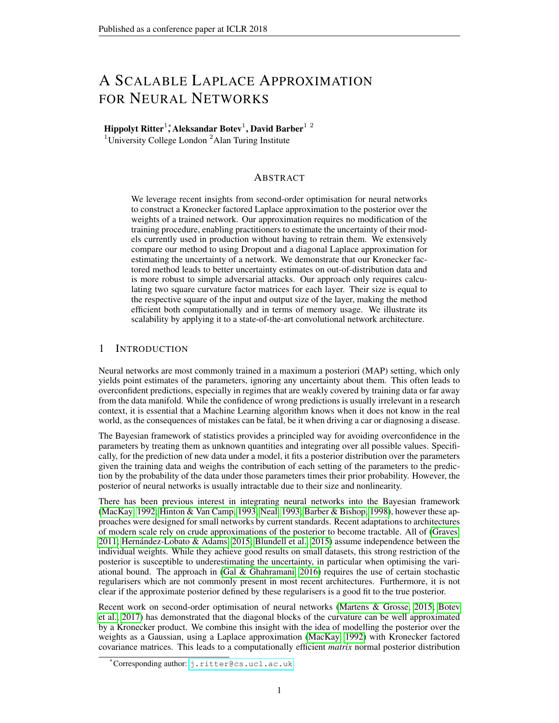<span id="page-12-1"></span>

Figure 7: Targeted adversarial attack for Kronecker factored Laplace approximation with the curvature calculated with and without data augmentation/approximating the activation Hessian.

where some form of data augmentation can be applied. The difference between approximating the activation Hessian over a minibatch and calculating it exactly appears to be negligible.

## D MEMORY AND COMPUTATIONAL REQUIREMENTS

If we denote the dimensionality of the input to layer  $\lambda$  as  $D_{-1}$  and its output as D, the curvature factors correspond to the two precision matrices with  $\frac{D_{-1}(D_{-1}+1)}{2}$  and  $\frac{D_{-}(D_{+1})}{2}$  'parameters' to estimate, since they are symmetric. So across a network, the number of curvature directions that we are estimating grows linearly in the number of layers and quadratically in the dimension of the layers, i.e. the number of columns of the weight matrices. The size of the full Hessian, on the other hand, grows quadratically in the number of layers and with the fourth power in the dimensionality of the layers (assuming they are all the same size).

Once the curvature factors are calculated, which only needs to be done once, we use their Cholesky decomposition to solve two triangular linear systems when sampling weights from the matrix normal distribution. We use the same weight samples for each minibatch, i.e. we do not sample a weight matrix per datapoint. This is for computational efficiency and does not change the expectation.

One possibility to save computation time would be to sample a fixed set of weight matrices from the approximate posterior — in order to avoid solving the linear system on every forward pass — and treat the networks that they define as an ensemble. The individual ensemble members can be evaluated in parallel and their outputs averaged, which can be done with a small overhead over evaluating a single network given sufficient compute resources. A further speed up can be achieved by distilling the predictive distributions of the Laplace network into a smaller, deterministic feedforward network as successfully demonstrated in [\(Balan et al., 2015\)](#page-8-12) for posterior samples using HMC.

## <span id="page-12-0"></span>E COMPLEMENTARY FIGURES FOR THE TOY DATASET

Fig. [8](#page-13-1) shows the different Laplace approximations (Kronecker factored, diagonal, full) from the main text without any hyperparameter tuning. The figure of the uncertainty obtained from samples using HMC is repeated. Note that the scale is larger than in the main text due to the high uncertainty of the Laplace approximations.

The Laplace approximations are increasingly uncertain away from the data, as the true posterior estimated from HMC samples, however they all overestimate the uncertainty without regularisation. This is easy to fix by optimising the hyperparameters on a validation set as discussed in the main text, resulting in posterior uncertainty much more similar to the true posterior. As previously discussed in [\(Botev et al., 2017\)](#page-8-4), the Hessian of a neural network is usually underdetermined as the number of data points is much smaller than the number of parameters — in our case we have 20 data points to estimate a 78 78 precision matrix. This leads to the full Laplace approximation vastly overestimating the uncertainty and a bad predictive mean. Both the Kronecker factored and the diagonal approximation exhibit smaller variance than the full Laplace approximation as they restrict the structure of the precision matrix. Consistently with the other experiments, we find the diagonal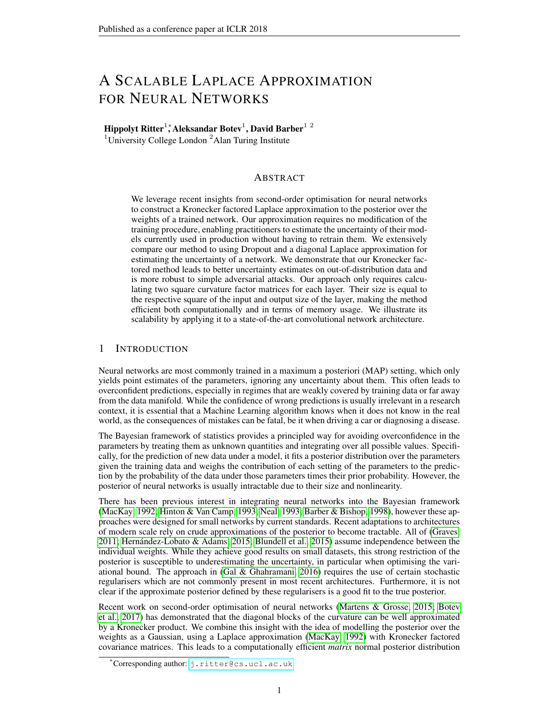<span id="page-13-1"></span>

Figure 8: Toy regression uncertainty. Black dots are data points, the black line shows the underlying noiseless function. The red line shows the deterministic prediction of the trained network, the blue line the mean output. Each shade of blue visualises one additional standard deviation.

Laplace approximation to place more mass in low probability areas of the posterior than the Kronecker factored approximation, resulting in higher variance on the regression problem. This leads to a need for greater regularisation of the diagonal approximation to obtain acceptable predictive performance, and underestimating the uncertainty.

## <span id="page-13-0"></span>F PREDICTION ACCURACY

This section shows the accuracy values obtained from the different predictions methods on the feedforward networks for MNIST and the wide residual network for CIFAR100. The results for MNIST are shown in Table [1](#page-14-0) and the results for CIFAR in Table [2.](#page-14-2)

In all cases, neither MC Dropout nor the Laplace approximation significantly change the classification accuracy of the network in comparison to a deterministic forward pass.